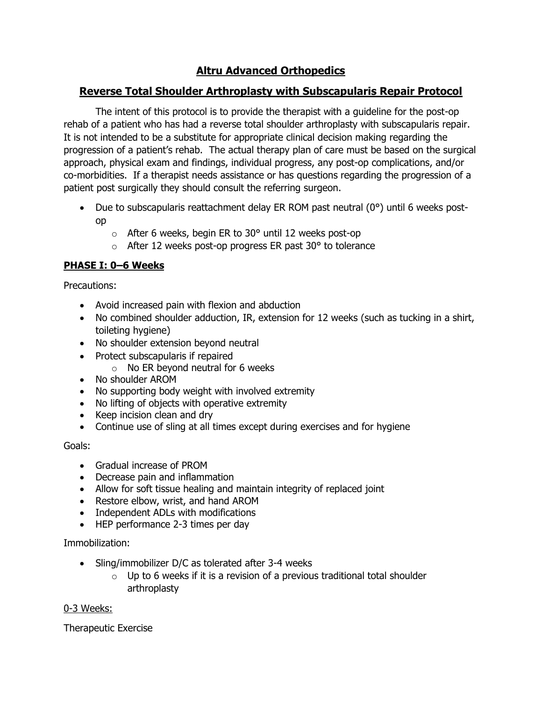# **Altru Advanced Orthopedics**

# **Reverse Total Shoulder Arthroplasty with Subscapularis Repair Protocol**

The intent of this protocol is to provide the therapist with a guideline for the post-op rehab of a patient who has had a reverse total shoulder arthroplasty with subscapularis repair. It is not intended to be a substitute for appropriate clinical decision making regarding the progression of a patient's rehab. The actual therapy plan of care must be based on the surgical approach, physical exam and findings, individual progress, any post-op complications, and/or co-morbidities. If a therapist needs assistance or has questions regarding the progression of a patient post surgically they should consult the referring surgeon.

- Due to subscapularis reattachment delay ER ROM past neutral  $(0^{\circ})$  until 6 weeks postop
	- $\circ$  After 6 weeks, begin ER to 30 $\circ$  until 12 weeks post-op
	- $\circ$  After 12 weeks post-op progress ER past 30 $\degree$  to tolerance

# **PHASE I: 0–6 Weeks**

Precautions:

- Avoid increased pain with flexion and abduction
- No combined shoulder adduction, IR, extension for 12 weeks (such as tucking in a shirt, toileting hygiene)
- No shoulder extension beyond neutral
- Protect subscapularis if repaired
	- $\circ$  No ER beyond neutral for 6 weeks
- No shoulder AROM
- No supporting body weight with involved extremity
- No lifting of objects with operative extremity
- Keep incision clean and dry
- Continue use of sling at all times except during exercises and for hygiene

# Goals:

- Gradual increase of PROM
- Decrease pain and inflammation
- Allow for soft tissue healing and maintain integrity of replaced joint
- Restore elbow, wrist, and hand AROM
- Independent ADLs with modifications
- HEP performance 2-3 times per day

Immobilization:

- Sling/immobilizer D/C as tolerated after 3-4 weeks
	- $\circ$  Up to 6 weeks if it is a revision of a previous traditional total shoulder arthroplasty

# 0-3 Weeks:

Therapeutic Exercise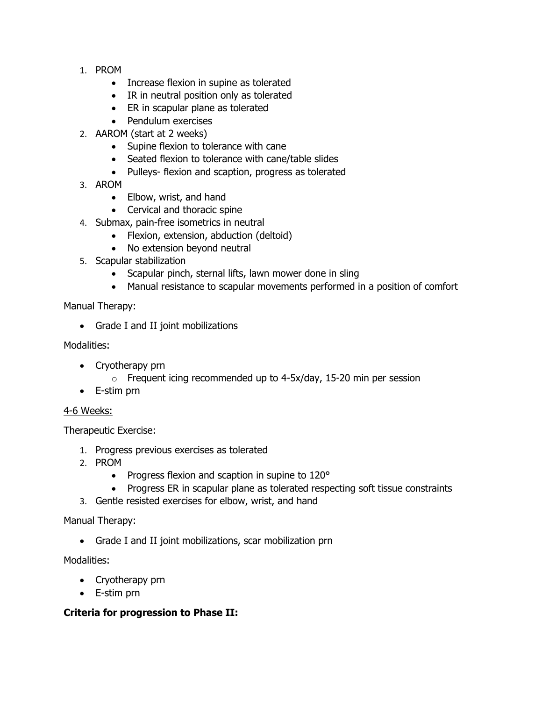- 1. PROM
	- Increase flexion in supine as tolerated
	- IR in neutral position only as tolerated
	- ER in scapular plane as tolerated
	- Pendulum exercises
- 2. AAROM (start at 2 weeks)
	- Supine flexion to tolerance with cane
	- Seated flexion to tolerance with cane/table slides
	- Pulleys- flexion and scaption, progress as tolerated
- 3. AROM
	- Elbow, wrist, and hand
	- Cervical and thoracic spine
- 4. Submax, pain-free isometrics in neutral
	- Flexion, extension, abduction (deltoid)
	- No extension beyond neutral
- 5. Scapular stabilization
	- Scapular pinch, sternal lifts, lawn mower done in sling
	- Manual resistance to scapular movements performed in a position of comfort

Manual Therapy:

• Grade I and II joint mobilizations

#### Modalities:

- Cryotherapy prn
	- $\circ$  Frequent icing recommended up to 4-5x/day, 15-20 min per session
- E-stim prn

### 4-6 Weeks:

Therapeutic Exercise:

- 1. Progress previous exercises as tolerated
- 2. PROM
	- Progress flexion and scaption in supine to 120°
	- Progress ER in scapular plane as tolerated respecting soft tissue constraints
- 3. Gentle resisted exercises for elbow, wrist, and hand

Manual Therapy:

• Grade I and II joint mobilizations, scar mobilization prn

Modalities:

- Cryotherapy prn
- E-stim prn

### **Criteria for progression to Phase II:**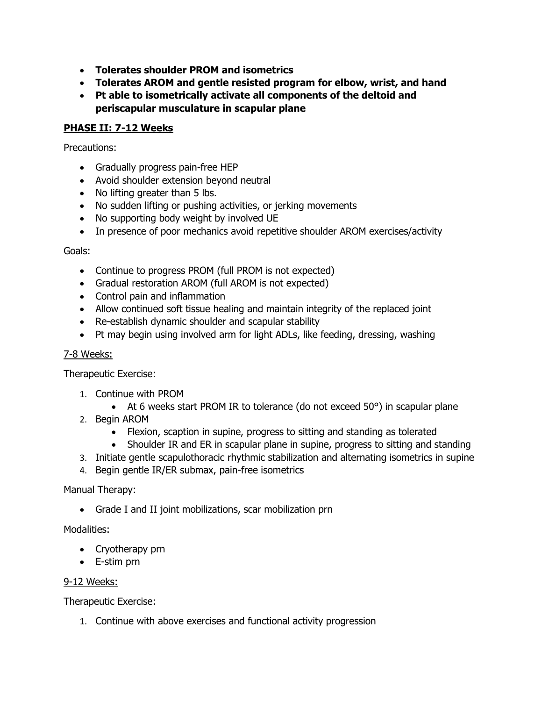- **Tolerates shoulder PROM and isometrics**
- **Tolerates AROM and gentle resisted program for elbow, wrist, and hand**
- **Pt able to isometrically activate all components of the deltoid and periscapular musculature in scapular plane**

#### **PHASE II: 7-12 Weeks**

Precautions:

- Gradually progress pain-free HEP
- Avoid shoulder extension beyond neutral
- No lifting greater than 5 lbs.
- No sudden lifting or pushing activities, or jerking movements
- No supporting body weight by involved UE
- In presence of poor mechanics avoid repetitive shoulder AROM exercises/activity

Goals:

- Continue to progress PROM (full PROM is not expected)
- Gradual restoration AROM (full AROM is not expected)
- Control pain and inflammation
- Allow continued soft tissue healing and maintain integrity of the replaced joint
- Re-establish dynamic shoulder and scapular stability
- Pt may begin using involved arm for light ADLs, like feeding, dressing, washing

#### 7-8 Weeks:

Therapeutic Exercise:

- 1. Continue with PROM
	- At 6 weeks start PROM IR to tolerance (do not exceed 50°) in scapular plane
- 2. Begin AROM
	- Flexion, scaption in supine, progress to sitting and standing as tolerated
	- Shoulder IR and ER in scapular plane in supine, progress to sitting and standing
- 3. Initiate gentle scapulothoracic rhythmic stabilization and alternating isometrics in supine
- 4. Begin gentle IR/ER submax, pain-free isometrics

Manual Therapy:

• Grade I and II joint mobilizations, scar mobilization prn

Modalities:

- Cryotherapy prn
- E-stim prn

#### 9-12 Weeks:

Therapeutic Exercise:

1. Continue with above exercises and functional activity progression